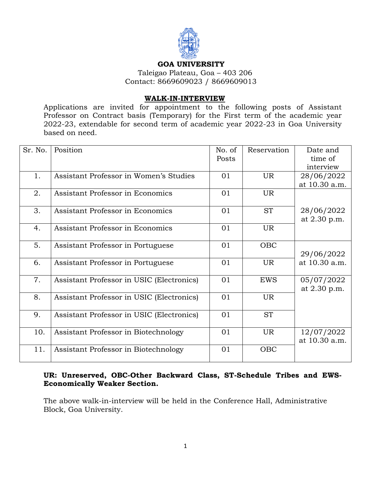

#### **GOA UNIVERSITY**

 Taleigao Plateau, Goa – 403 206 Contact: 8669609023 / 8669609013

#### **WALK-IN-INTERVIEW**

Applications are invited for appointment to the following posts of Assistant Professor on Contract basis (Temporary) for the First term of the academic year 2022-23, extendable for second term of academic year 2022-23 in Goa University based on need.

| Sr. No. | Position                                  | No. of | Reservation | Date and      |
|---------|-------------------------------------------|--------|-------------|---------------|
|         |                                           | Posts  |             | time of       |
|         |                                           |        |             | interview     |
| 1.      | Assistant Professor in Women's Studies    | 01     | <b>UR</b>   | 28/06/2022    |
|         |                                           |        |             | at 10.30 a.m. |
| 2.      | Assistant Professor in Economics          | 01     | <b>UR</b>   |               |
| 3.      | Assistant Professor in Economics          | 01     | <b>ST</b>   | 28/06/2022    |
|         |                                           |        |             | at 2.30 p.m.  |
| 4.      | Assistant Professor in Economics          | 01     | <b>UR</b>   |               |
|         |                                           |        |             |               |
| 5.      | Assistant Professor in Portuguese         | 01     | <b>OBC</b>  |               |
|         |                                           |        |             | 29/06/2022    |
| 6.      | Assistant Professor in Portuguese         | 01     | <b>UR</b>   | at 10.30 a.m. |
|         |                                           |        |             |               |
| 7.      | Assistant Professor in USIC (Electronics) | 01     | <b>EWS</b>  | 05/07/2022    |
|         |                                           |        |             | at 2.30 p.m.  |
| 8.      | Assistant Professor in USIC (Electronics) | 01     | <b>UR</b>   |               |
|         |                                           |        |             |               |
| 9.      | Assistant Professor in USIC (Electronics) | 01     | <b>ST</b>   |               |
|         |                                           |        |             |               |
| 10.     | Assistant Professor in Biotechnology      | 01     | <b>UR</b>   | 12/07/2022    |
|         |                                           |        |             | at 10.30 a.m. |
| 11.     | Assistant Professor in Biotechnology      | 01     | OBC         |               |
|         |                                           |        |             |               |

### **UR: Unreserved, OBC-Other Backward Class, ST-Schedule Tribes and EWS-Economically Weaker Section.**

The above walk-in-interview will be held in the Conference Hall, Administrative Block, Goa University.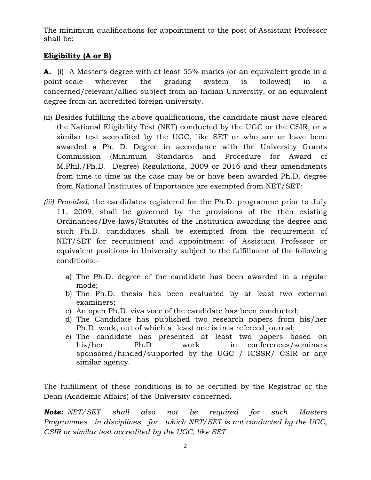The minimum qualifications for appointment to the post of Assistant Professor shall be:

# **Eligibility (A or B)**

**A.** (i) A Master's degree with at least 55% marks (or an equivalent grade in a point-scale wherever the grading system is followed) in a concerned/relevant/allied subject from an Indian University, or an equivalent degree from an accredited foreign university.

- (ii) Besides fulfilling the above qualifications, the candidate must have cleared the National Eligibility Test (NET) conducted by the UGC or the CSIR, or a similar test accredited by the UGC, like SET or who are or have been awarded a Ph. D*.* Degree in accordance with the University Grants Commission (Minimum Standards and Procedure for Award of M.Phil./Ph.D. Degree) Regulations, 2009 or 2016 and their amendments from time to time as the case may be or have been awarded Ph.D. degree from National Institutes of Importance are exempted from NET/SET:
- *(iii) Provided*, the candidates registered for the Ph.D. programme prior to July 11, 2009, shall be governed by the provisions of the then existing Ordinances/Bye-laws/Statutes of the Institution awarding the degree and such Ph.D. candidates shall be exempted from the requirement of NET/SET for recruitment and appointment of Assistant Professor or equivalent positions in University subject to the fulfillment of the following conditions:
	- a) The Ph.D. degree of the candidate has been awarded in a regular mode;
	- b) The Ph.D. thesis has been evaluated by at least two external examiners;
	- c) An open Ph.D. viva voce of the candidate has been conducted;
	- d) The Candidate has published two research papers from his/her Ph.D. work, out of which at least one is in a refereed journal;
	- e) The candidate has presented at least two papers based on his/her Ph.D work in conferences/seminars sponsored/funded/supported by the UGC / ICSSR/ CSIR or any similar agency.

The fulfillment of these conditions is to be certified by the Registrar or the Dean (Academic Affairs) of the University concerned.

*Note: NET/SET shall also not be required for such Masters Programmes in disciplines for which NET/SET is not conducted by the UGC, CSIR or similar test accredited by the UGC, like SET.*